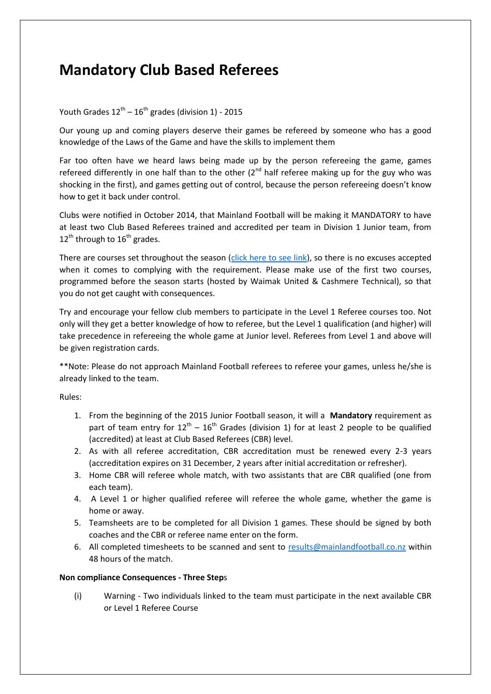## **Mandatory Club Based Referees**

## Youth Grades  $12^{th}$  –  $16^{th}$  grades (division 1) - 2015

Our young up and coming players deserve their games be refereed by someone who has a good knowledge of the Laws of the Game and have the skills to implement them

Far too often have we heard laws being made up by the person refereeing the game, games refereed differently in one half than to the other  $(2^{nd}$  half referee making up for the guy who was shocking in the first), and games getting out of control, because the person refereeing doesn't know how to get it back under control.

Clubs were notified in October 2014, that Mainland Football will be making it MANDATORY to have at least two Club Based Referees trained and accredited per team in Division 1 Junior team, from  $12^{th}$  through to  $16^{th}$  grades.

There are courses set throughout the season [\(click here to see link\)](http://www.mainlandfootball.co.nz/index.php?id=refcourses), so there is no excuses accepted when it comes to complying with the requirement. Please make use of the first two courses, programmed before the season starts (hosted by Waimak United & Cashmere Technical), so that you do not get caught with consequences.

Try and encourage your fellow club members to participate in the Level 1 Referee courses too. Not only will they get a better knowledge of how to referee, but the Level 1 qualification (and higher) will take precedence in refereeing the whole game at Junior level. Referees from Level 1 and above will be given registration cards.

\*\*Note: Please do not approach Mainland Football referees to referee your games, unless he/she is already linked to the team.

Rules:

- 1. From the beginning of the 2015 Junior Football season, it will a **Mandatory** requirement as part of team entry for  $12^{th} - 16^{th}$  Grades (division 1) for at least 2 people to be qualified (accredited) at least at Club Based Referees (CBR) level.
- 2. As with all referee accreditation, CBR accreditation must be renewed every 2-3 years (accreditation expires on 31 December, 2 years after initial accreditation or refresher).
- 3. Home CBR will referee whole match, with two assistants that are CBR qualified (one from each team).
- 4. A Level 1 or higher qualified referee will referee the whole game, whether the game is home or away.
- 5. Teamsheets are to be completed for all Division 1 games. These should be signed by both coaches and the CBR or referee name enter on the form.
- 6. All completed timesheets to be scanned and sent to [results@mainlandfootball.co.nz](mailto:results@mainlandfootball.co.nz) within 48 hours of the match.

## **Non compliance Consequences - Three Step**s

(i) Warning - Two individuals linked to the team must participate in the next available CBR or Level 1 Referee Course